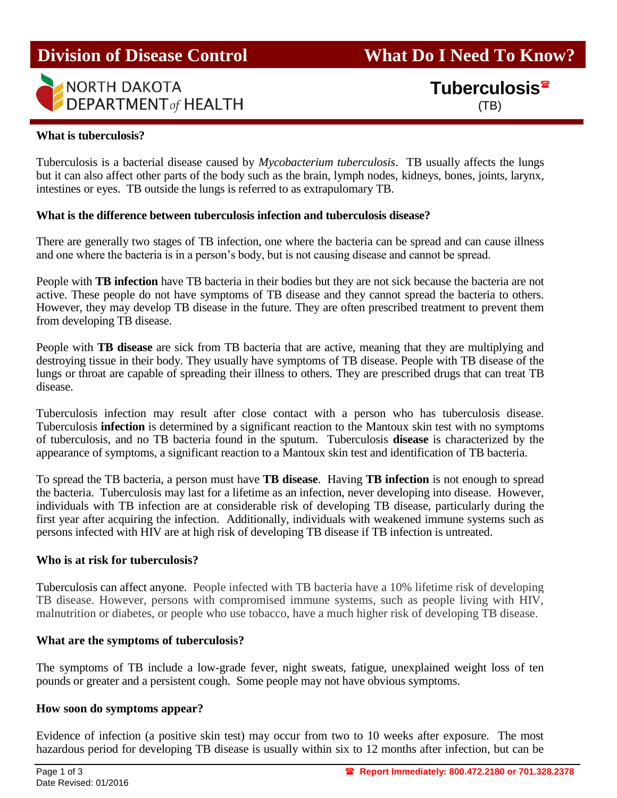

**Division of Disease Control What Do I Need To Know?** 

**Tuberculosis**

#### **What is tuberculosis?**

Tuberculosis is a bacterial disease caused by *Mycobacterium tuberculosis*. TB usually affects the lungs but it can also affect other parts of the body such as the brain, lymph nodes, kidneys, bones, joints, larynx, intestines or eyes. TB outside the lungs is referred to as extrapulomary TB.

#### **What is the difference between tuberculosis infection and tuberculosis disease?**

There are generally two stages of TB infection, one where the bacteria can be spread and can cause illness and one where the bacteria is in a person's body, but is not causing disease and cannot be spread.

People with **TB infection** have TB bacteria in their bodies but they are not sick because the bacteria are not active. These people do not have symptoms of TB disease and they cannot spread the bacteria to others. However, they may develop TB disease in the future. They are often prescribed treatment to prevent them from developing TB disease.

People with **TB disease** are sick from TB bacteria that are active, meaning that they are multiplying and destroying tissue in their body. They usually have symptoms of TB disease. People with TB disease of the lungs or throat are capable of spreading their illness to others. They are prescribed drugs that can treat TB disease.

Tuberculosis infection may result after close contact with a person who has tuberculosis disease. Tuberculosis **infection** is determined by a significant reaction to the Mantoux skin test with no symptoms of tuberculosis, and no TB bacteria found in the sputum. Tuberculosis **disease** is characterized by the appearance of symptoms, a significant reaction to a Mantoux skin test and identification of TB bacteria.

To spread the TB bacteria, a person must have **TB disease**. Having **TB infection** is not enough to spread the bacteria. Tuberculosis may last for a lifetime as an infection, never developing into disease. However, individuals with TB infection are at considerable risk of developing TB disease, particularly during the first year after acquiring the infection. Additionally, individuals with weakened immune systems such as persons infected with HIV are at high risk of developing TB disease if TB infection is untreated.

#### **Who is at risk for tuberculosis?**

Tuberculosis can affect anyone. People infected with TB bacteria have a 10% lifetime risk of developing TB disease. However, persons with compromised immune systems, such as people living with HIV, malnutrition or diabetes, or people who use tobacco, have a much higher risk of developing TB disease.

## **What are the symptoms of tuberculosis?**

The symptoms of TB include a low-grade fever, night sweats, fatigue, unexplained weight loss of ten pounds or greater and a persistent cough. Some people may not have obvious symptoms.

#### **How soon do symptoms appear?**

Evidence of infection (a positive skin test) may occur from two to 10 weeks after exposure. The most hazardous period for developing TB disease is usually within six to 12 months after infection, but can be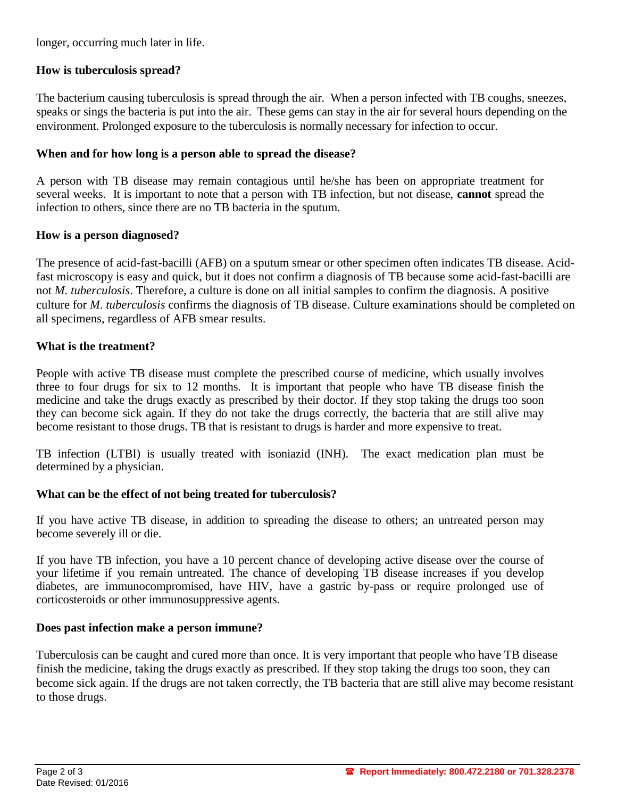longer, occurring much later in life.

# **How is tuberculosis spread?**

The bacterium causing tuberculosis is spread through the air. When a person infected with TB coughs, sneezes, speaks or sings the bacteria is put into the air. These gems can stay in the air for several hours depending on the environment. Prolonged exposure to the tuberculosis is normally necessary for infection to occur.

# **When and for how long is a person able to spread the disease?**

A person with TB disease may remain contagious until he/she has been on appropriate treatment for several weeks. It is important to note that a person with TB infection, but not disease, **cannot** spread the infection to others, since there are no TB bacteria in the sputum.

# **How is a person diagnosed?**

The presence of acid-fast-bacilli (AFB) on a sputum smear or other specimen often indicates TB disease. Acidfast microscopy is easy and quick, but it does not confirm a diagnosis of TB because some acid-fast-bacilli are not *M. tuberculosis*. Therefore, a culture is done on all initial samples to confirm the diagnosis. A positive culture for *M. tuberculosis* confirms the diagnosis of TB disease. Culture examinations should be completed on all specimens, regardless of AFB smear results.

# **What is the treatment?**

People with active TB disease must complete the prescribed course of medicine, which usually involves three to four drugs for six to 12 months. It is important that people who have TB disease finish the medicine and take the drugs exactly as prescribed by their doctor. If they stop taking the drugs too soon they can become sick again. If they do not take the drugs correctly, the bacteria that are still alive may become resistant to those drugs. TB that is resistant to drugs is harder and more expensive to treat.

TB infection (LTBI) is usually treated with isoniazid (INH). The exact medication plan must be determined by a physician.

## **What can be the effect of not being treated for tuberculosis?**

If you have active TB disease, in addition to spreading the disease to others; an untreated person may become severely ill or die.

If you have TB infection, you have a 10 percent chance of developing active disease over the course of your lifetime if you remain untreated. The chance of developing TB disease increases if you develop diabetes, are immunocompromised, have HIV, have a gastric by-pass or require prolonged use of corticosteroids or other immunosuppressive agents.

## **Does past infection make a person immune?**

Tuberculosis can be caught and cured more than once. It is very important that people who have TB disease finish the medicine, taking the drugs exactly as prescribed. If they stop taking the drugs too soon, they can become sick again. If the drugs are not taken correctly, the TB bacteria that are still alive may become resistant to those drugs.